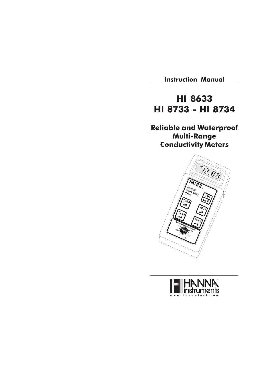Instruction Manual

# HI 8633 HI 8733 - HI 8734

Reliable and Waterproof Multi-Range Conductivity Meters



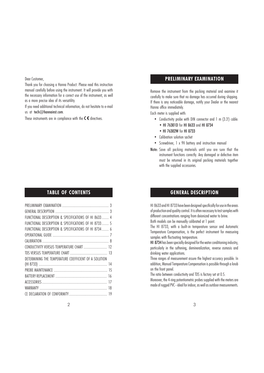Dear Customer,

Thank you for choosing a Hanna Product. Please read this instruction manual carefully before using the instrument. It will provide you with the necessary information for a correct use of the instrument, as well as a more precise idea of its versatility.

If you need additional technical information, do not hesitate to e-mail us at tech@hannainst.com.

These instruments are in compliance with the  $\mathsf{C}\mathsf{\mathsf{C}}$  directives.

#### TABLE OF CONTENTS

| FUNCTIONAL DESCRIPTION & SPECIFICATIONS OF HI 8633 4  |  |
|-------------------------------------------------------|--|
| FUNCTIONAL DESCRIPTION & SPECIFICATIONS OF HI 8733 5  |  |
| FUNCTIONAL DESCRIPTION & SPECIFICATIONS OF HI 8734  6 |  |
|                                                       |  |
|                                                       |  |
| CONDUCTIVITY VERSUS TEMPERATURE CHART  12             |  |
|                                                       |  |
| DETERMINING THE TEMPERATURE COEFFICIENT OF A SOLUTION |  |
|                                                       |  |
|                                                       |  |
|                                                       |  |
|                                                       |  |
|                                                       |  |
|                                                       |  |
|                                                       |  |

#### PRELIMINARY EXAMINATION

Remove the instrument from the packing material and examine it carefully to make sure that no damage has occurred during shipping. If there is any noticeable damage, notify your Dealer or the nearest Hanna office immediately.

Each meter is supplied with:

- Conductivity probe with DIN connector and 1 m (3.3') cable:
	- HI 76301D for HI 8633 and HI 8734
	- HI 76302W for HI 8733
- Calibration solution sachet
- Screwdriver, 1 x 9V battery and instruction manual
- Note: Save all packing materials until you are sure that the instrument functions correctly. Any damaged or defective item must be returned in its original packing materials together with the supplied accessories.

# GENERAL DESCRIPTION

HI 8633 and HI 8733 have been designed specifically for use in the areas of production and quality control. It is often necessary to test samples with different concentrations ranging from deionized water to brine. Both models can be manually calibrated at 1 point.

The HI 8733, with a built-in temperature sensor and Automatic Temperature Compensation, is the perfect instrument for measuring samples with fluctuating temperature.

HI 8734 has been specially designed for the water conditioning industry, particularly in the softening, demineralization, reverse osmosis and drinking water applications.

Three ranges of measurement assure the highest accuracy possible. In addition, Manual Temperature Compensation is possible through a knob on the front panel.

The ratio between conductivity and TDS is factory set at 0.5.

Moreover, the 4-ring potentiometric probes supplied with the meters are made of rugged PVC - ideal for indoor, as well as outdoor measurements.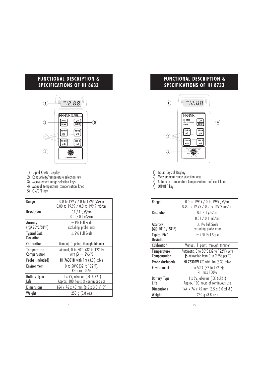# FUNCTIONAL DESCRIPTION & SPECIFICATIONS OF HI 8633



- 1) Liquid Crystal Display
- 2) Conductivity/temperature selection key
- 3) Measurement range selection keys
- 4) Manual temperature compensation knob 4) Manual temp<br>5) ON/OFF key
- 

| Range                                         | 0.0 to 199.9 / 0 to 1999 $\mu$ S/cm<br>0.00 to 19.99 / 0.0 to 199.9 mS/cm |
|-----------------------------------------------|---------------------------------------------------------------------------|
| Resolution                                    | $0.1 / 1 \mu$ S/cm<br>$0.01 / 0.1$ mS/cm                                  |
| Accuracy<br>(@ 20 $\degree$ C/68 $\degree$ F) | $\pm$ 1% Full Scale<br>excluding probe error                              |
| <b>Typical EMC</b><br><b>Deviation</b>        | $+2%$ Full Scale                                                          |
| Calibration                                   | Manual, 1 point, through trimmer                                          |
| Temperature<br>Compensation                   | Manual, 0 to 50°C (32 to 122°F)<br>with $\beta = 2\%$ / °C                |
| Probe (included)                              | HI 76301D with 1m (3.3') cable                                            |
| Environment                                   | 0 to 50 $\degree$ C (32 to 122 $\degree$ F);<br>RH max 100%               |
| <b>Battery Type</b><br>Life                   | 1 x 9V, alkaline (IEC 6LR61)<br>Approx. 100 hours of continuous use       |
| <b>Dimensions</b>                             | 164 x 76 x 45 mm (6.5 x 3.0 x1.8")                                        |
| Weight                                        | $250$ g $(8.8 \text{ oz.})$                                               |

# FUNCTIONAL DESCRIPTION & SPECIFICATIONS OF HI 8733



- 1) Liquid Crystal Display
- 2) Measurement range selection keys
- 3) Automatic Temperature Compensation coefficient knob
- 4) ON/OFF key

| Range                                                    | 0.0 to 199.9 / 0 to 1999 $\mu$ S/cm<br>0.00 to 19.99 / 0.0 to 199.9 mS/cm                    |
|----------------------------------------------------------|----------------------------------------------------------------------------------------------|
| Resolution                                               | 0.1 / 1 $\mu$ S/cm                                                                           |
|                                                          | $0.01 / 0.1$ mS/cm                                                                           |
| Accuracy<br>$(Q^{\circ} 20^{\circ}$ C / 68 $^{\circ}$ F) | $\pm$ 1% Full Scale<br>excluding probe error                                                 |
| <b>Typical EMC</b><br><b>Deviation</b>                   | $\pm$ 2 % Full Scale                                                                         |
| Calibration                                              | Manual, 1 point, through trimmer                                                             |
| <b>Temperature</b><br>Compensation                       | Automatic, 0 to 50°C (32 to 122°F) with<br>$\beta$ adjustable from 0 to 2.5% per $\degree$ C |
| Probe (included)                                         | HI 76302W ATC with 1m (3.3') cable                                                           |
| Environment                                              | 0 to 50 $\degree$ C (32 to 122 $\degree$ F);<br>RH max 100%                                  |
| <b>Battery Type</b><br>Life                              | 1 x 9V, alkaline (IEC 6LR61)<br>Approx. 100 hours of continuous use                          |
| <b>Dimensions</b>                                        | 164 x 76 x 45 mm (6.5 x 3.0 x1.8")                                                           |
| Weight                                                   | 250 g (8.8 oz.)                                                                              |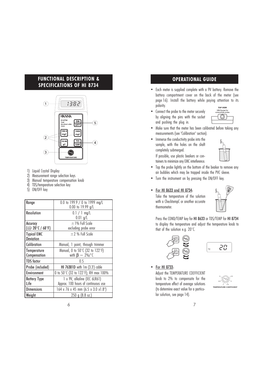# FUNCTIONAL DESCRIPTION & SPECIFICATIONS OF HI 8734



- 1) Liquid Crystal Display<br>2) Measurement range so
- 2) Measurement range selection keys<br>3) Manual temperature compensatior<br>4) TDS/temperature selection key
- 3) Manual temperature compensation knob
- TDS/temperature selection key
- 5) ON/OFF key

| Range                                              | 0.0 to 199.9 / 0 to 1999 mg/L<br>0.00 to 19.99 g/L                  |
|----------------------------------------------------|---------------------------------------------------------------------|
| <b>Resolution</b>                                  | $0.1 / 1$ mg/L<br>$0.01$ g/L                                        |
| Accuracy<br>$(Q^{\circ}20^{\circ}C / 68^{\circ}F)$ | $\pm$ 1% Full Scale<br>excluding probe error                        |
| <b>Typical EMC</b><br><b>Deviation</b>             | $\pm$ 2 % Full Scale                                                |
| <b>Calibration</b>                                 | Manual, 1 point, through trimmer                                    |
| Temperature<br>Compensation                        | Manual, 0 to 50°C (32 to 122°F)<br>with $\beta = 2\%$ /°C           |
| TDS factor                                         | 0.5                                                                 |
| Probe (included)                                   | HI 76301D with 1m (3.3') cable                                      |
| Environment                                        | 0 to 50 $\degree$ C (32 to 122 $\degree$ F); RH max 100%            |
| <b>Battery Type</b><br>Life                        | 1 x 9V, alkaline (IEC 6LR61)<br>Approx. 100 hours of continuous use |
| <b>Dimensions</b>                                  | 164 x 76 x 45 mm $(6.5 \times 3.0 \times 1.8)$                      |
| l Weight                                           | $250$ g $(8.8 \text{ oz.})$                                         |

# OPERATIONAL GUIDE

- Each meter is supplied complete with a 9V battery. Remove the battery compartment cover on the back of the meter (see page 16). Install the battery while paying attention to its polarity.
- Connect the probe to the meter securely by aligning the pins with the socket and pushing the plug in.



- Make sure that the meter has been calibrated before taking any measurements (see "Calibration" section).
- Immerse the conductivity probe into the sample, with the holes on the shaft completely submerged. If possible, use plastic beakers or con-

tainers to minimize any EMC interference.



- Tap the probe lightly on the bottom of the beaker to remove any air bubbles which may be trapped inside the PVC sleeve.
- Turn the instrument on by pressing the ON/OFF key.

#### • For HI 8633 and HI 8734:

Take the temperature of the solution with a ChecktempC or another accurate thermometer.



Press the COND/TEMP key for HI 8633 or TDS/TEMP for HI 8734 to display the temperature and adjust the temperature knob to that of the solution e.g. 20°C.





#### • For HI 8733:

Adjust the TEMPERATURE COEFFICIENT knob to 2% to compensate for the temperature effect of average solutions (to determine exact value for a particular solution, see page 14).

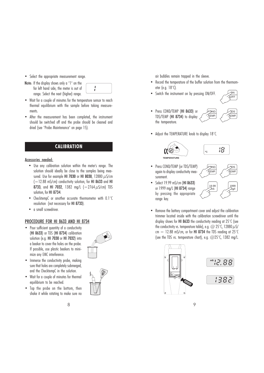- Select the appropriate measurement range.
- Note: If the display shows only a "1" on the far left hand side, the meter is out of range. Select the next (higher) range.

- Wait for a couple of minutes for the temperature sensor to reach thermal equilibrium with the sample before taking measurements.
- After the measurement has been completed, the instrument should be switched off and the probe should be cleaned and dried (see "Probe Maintenance" on page 15).

# **CALIBRATION**

#### Accessories needed:

- Use any calibration solution within the meter's range. The solution should ideally be close to the samples being measured. Use for example HI 7030 or HI 8030, 12880  $\mu$ S/cm (=12.88 mS/cm) conductivity solution, for HI 8633 and HI 8733, and HI 7032, 1382 mg/L (=2764  $\mu$ S/cm) TDS solution, for HI 8734.
- ChecktempC or another accurate thermometer with 0.1°C resolution (not necessary for HI 8733).
- a small screwdriver.

#### PROCEDURE FOR HI 8633 AND HI 8734

• Pour sufficient quantity of a conductivity (HI 8633) or TDS (HI 8734) calibration solution (e.g. HI 7030 or HI 7032) into a beaker to cover the holes on the probe. If possible, use plastic beakers to minimize any EMC interference.



- Immerse the conductivity probe, making sure that holes are completely submerged, and the ChecktempC in the solution.
- Wait for a couple of minutes for thermal equilibrium to be reached.
- Tap the probe on the bottom, then shake it while rotating to make sure no

air bubbles remain trapped in the sleeve.

- Record the temperature of the buffer solution from the thermometer (e.g. 18°C).
- Switch the instrument on by pressing ON/OFF.
- Press COND/TEMP (HI 8633) or TDS/TEMP (HI 8734) to display the temperature.



• Adjust the TEMPERATURE knob to display 18°C.





**OND**  $\propto$ fmf

- Press COND/TEMP (or TDS/TEMP) again to display conductivity measurement.
- Select 19.99 mS/cm (HI 8633) or 1999 mg/L (HI 8734) range by pressing the appropriate range key.



• Remove the battery compartment cover and adjust the calibration trimmer located inside with the calibration screwdriver until the display shows for HI 8633 the conductivity reading at 25°C (see the conductivity vs. temperature table), e.g.  $\omega$  25°C, 12880  $\mu$ S/ cm  $=$  12.88 mS/cm, or for HI 8734 the TDS reading at 25 $\degree$ C (see the TDS vs. temperature chart), e.g.  $@25^{\circ}$ C, 1382 mg/L.



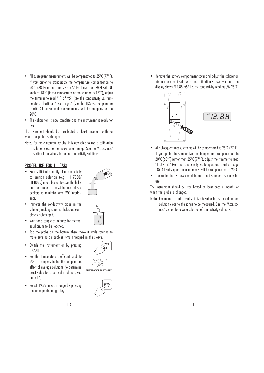- All subsequent measurements will be compensated to 25°C (77°F). If you prefer to standardize the temperature compensation to 20°C (68°F) rather than 25°C (77°F), leave the TEMPERATURE knob at 18°C (if the temperature of the solution is 18°C), adjust the trimmer to read "11.67 mS" (see the conductivity vs. temperature chart) or "1251 mg/L" (see the TDS vs. temperature chart). All subsequent measurements will be compensated to 20°C.
- The calibration is now complete and the instrument is ready for use.

The instrument should be recalibrated at least once a month, or when the probe is changed.

Note: For more accurate results, it is advisable to use a calibration solution close to the measurement range. See the "Accessories" section for a wide selection of conductivity solutions.

#### PROCEDURE FOR HI 8733

• Pour sufficient quantity of a conductivity calibration solution (e.g. HI 7030/ HI 8030) into a beaker to cover the holes on the probe. If possible, use plastic beakers to minimize any EMC interference.



- Immerse the conductivity probe in the solution, making sure that holes are completely submerged.
- Wait for a couple of minutes for thermal equilibrium to be reached.
- Tap the probe on the bottom, then shake it while rotating to make sure no air bubbles remain trapped in the sleeve.
- Switch the instrument on by pressing ON/OFF.
- Set the temperature coefficient knob to 2% to compensate for the temperature effect of average solutions (to determine exact value for a particular solution, see page 14).
- Select 19.99 mS/cm range by pressing the appropriate range key.







• Remove the battery compartment cover and adjust the calibration trimmer located inside with the calibration screwdriver until the display shows "12.88 mS" i.e. the conductivity reading  $\omega$  25°C.



- All subsequent measurements will be compensated to 25°C (77°F). If you prefer to standardize the temperature compensation to 20 $\degree$ C (68 $\degree$ F) rather than 25 $\degree$ C (77 $\degree$ F), adjust the trimmer to read "11.67 mS" (see the conductivity vs. temperature chart on page 18). All subsequent measurements will be compensated to 20°C.
- The calibration is now complete and the instrument is ready for use.

The instrument should be recalibrated at least once a month, or when the probe is changed.

Note: For more accurate results, it is advisable to use a calibration solution close to the range to be measured. See the "Accessories" section for a wide selection of conductivity solutions.

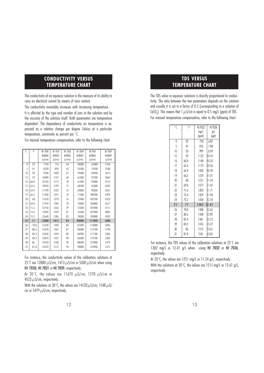#### CONDUCTIVITY VERSUS TEMPERATURE CHART

The conductivity of an aqueous solution is the measure of its ability to carry an electrical current by means of ionic motion.

The conductivity invariably increases with increasing temperature.

It is affected by the type and number of ions in the solution and by the viscosity of the solution itself. Both parameters are temperature dependent. The dependency of conductivity on temperature is expressed as a relative change per degree Celsius at a particular temperature, commonly as percent per °C.

For manual temperature compensation, refer to the following chart:

| $\circ$ C | °F   | HI 7030     | HI 7031     | HI 7033     | HI 7034      | HI 7035     | HI 7039     |
|-----------|------|-------------|-------------|-------------|--------------|-------------|-------------|
|           |      | HI 8030     | HI 8031     | HI 8033     | HI 8034      | HI 8035     | HI 8039     |
|           |      | $(\mu S/m)$ | $(\mu S/m)$ | $(\mu S/m)$ | $(\mu S/cm)$ | $(\mu S/m)$ | $(\mu S/m)$ |
| $\theta$  | 32   | 7150        | 776         | 64          | 48300        | 65400       | 2760        |
| 5         | 41   | 8220        | 896         | 65          | 53500        | 74100       | 3180        |
| 10        | 50   | 9330        | 1020        | 67          | 59600        | 83200       | 3615        |
| 15        | 59   | 10480       | 1147        | 68          | 65400        | 92500       | 4063        |
| 16        | 60.8 | 10720       | 1173        | 70          | 67200        | 94400       | 4155        |
| 17        | 62.6 | 10950       | 1199        | 71          | 68500        | 96300       | 4245        |
| 18        | 64.4 | 11190       | 1225        | 73          | 69800        | 98200       | 4337        |
| 19        | 66.2 | 11430       | 1251        | 74          | 71300        | 100200      | 4429        |
| 20        | 68   | 11670       | 1278        | 76          | 72400        | 102100      | 4523        |
| 21        | 69.8 | 11910       | 1305        | 78          | 74000        | 104000      | 4617        |
| 22        | 71.6 | 12150       | 1332        | 79          | 75200        | 105900      | 4711        |
| 23        | 73.4 | 12390       | 1359        | 81          | 76500        | 107900      | 4805        |
| 24        | 75.2 | 12640       | 1386        | 82          | 78300        | 109800      | 4902        |
| 25        | 77   | 12880       | 1413        | 84          | 80000        | 111800      | 5000        |
| 26        | 78.8 | 13130       | 1440        | 86          | 81300        | 113800      | 5096        |
| 27        | 80.6 | 13370       | 1467        | 87          | 83000        | 115700      | 5190        |
| 28        | 82.4 | 13620       | 1494        | 89          | 84900        | 117700      | 5286        |
| 29        | 84.2 | 13870       | 1521        | 90          | 86300        | 119700      | 5383        |
| 30        | 86   | 14120       | 1548        | 92          | 88200        | 121800      | 5479        |
| 31        | 87.8 | 14370       | 1575        | 94          | 90000        | 123900      | 5575        |
|           |      |             |             |             |              |             |             |

For instance, the conductivity values of the calibration solutions at 25 $\degree$ C are 12880  $\mu$ S/cm, 1413  $\mu$ S/cm or 5000  $\mu$ S/cm when using HI 7030, HI 7031 or HI 7039, respectively.

At 20 $\degree$ C, the values are 11670  $\mu$ S/cm, 1278  $\mu$ S/cm or 4523  $\mu$ S/cm, respectively.

With the solutions at 30°C, the values are 14120  $\mu$ S/cm, 1548  $\mu$ S/ cm or 5479  $\mu$ S/cm, respectively.

# TDS VERSUS TEMPERATURE CHART

The TDS value in aqueous solutions is directly proportional to conductivity. The ratio between the two parameters depends on the solution and usually it is set to a factor of 0.5 (corresponding to a solution of CaCO<sub>3</sub>). This means that 1  $\mu$ S/cm is equal to 0.5 mg/L (ppm) of TDS. For manual temperature compensation, refer to the following chart:

| $\circ$ ( | $\circ$ F | HI 7032 | HI 7036 |  |
|-----------|-----------|---------|---------|--|
|           |           | mg/L    | gΛ      |  |
|           |           | (ppm)   | (ppt)   |  |
| 0         | 32        | 758     | 6.82    |  |
| 5         | 41        | 876     | 7.88    |  |
| 10        | 50        | 999     | 8.99    |  |
| 15        | 59        | 1122    | 10.10   |  |
| 16        | 60.8      | 1148    | 10.33   |  |
| 17        | 62.6      | 1173    | 10.56   |  |
| 18        | 64.4      | 1200    | 10.78   |  |
| 19        | 66.2      | 1224    | 11.01   |  |
| 20        | 68        | 1251    | 11.24   |  |
| 21        | 69.8      | 1277    | 11.47   |  |
| 22        | 71.6      | 1303    | 11 71   |  |
| 23        | 73.4      | 1329    | 1194    |  |
| 24        | 75.2      | 1358    | 12.18   |  |
| 25        | 77        | 1382    | 1 2.41  |  |
| 26        | 78.8      | 1408    | 12.65   |  |
| 27        | 80.6      | 1438    | 12.89   |  |
| 28        | 82.4      | 1461    | 13.13   |  |
| 29        | 84.2      | 1476    | 13.37   |  |
| 30        | 86        | 1515    | 13.61   |  |
| 31        | 87.8      | 1541    | 13.85   |  |

For instance, the TDS values of the calibration solutions at 25°C are 1382 mg/L or 12.41 g/L when using HI 7032 or HI 7036, respectively.

At 20°C, the values are 1251 mg/L or 11.24 g/L, respectively. With the solutions at 30°C, the values are 1515 mg/L or 13.61 g/L, respectively.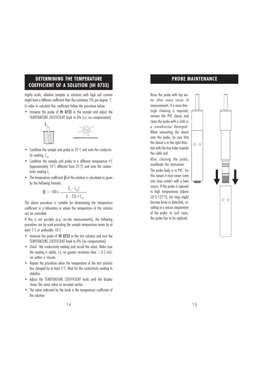# DETERMINING THE TEMPERATURE COEFFICIENT OF A SOLUTION (HI 8733)

Highly acidic, alkaline samples or solutions with high salt content might have a different coefficient than the customary 2% per degree °C. In order to calculate this coefficient follow the procedure below:

• Immerse the probe of HI 8733 in the sample and adjust the TEMPERATURE COEFFICIENT knob to 0% (i.e. no compensation).



- Condition the sample and probe to 25°C and note the conductivity reading,  $C_{25}$ .
- Condition the sample and probe to a different temperature t°C (approximately 10°C different from 25°C) and note the conductivity reading C<sub>r</sub>. .
- The temperature coefficient  $\beta$  of the solution is calculated as given by the following formula:

$$
\beta = 100 \, x \, \frac{(C_{1} - C_{25})}{(t - 25) \, x \, C_{25}}
$$

The above procedure is suitable for determining the temperature coefficient in a laboratory or where the temperature of the solution can be controlled.

If this is not possible (e.g. on-site measurements), the following procedure can be used providing the sample temperature varies by at least 5°C or preferably 10°C:

- Immerse the probe of HI 8733 in the test solution and turn the TEMPERATURE COEFFICIENT knob to 0% (no compensation).
- Check the conductivity reading and record the value. Make sure the reading is stable, i.e. no greater variations than  $\pm$  0.2 mS/ cm within a minute.
- Repeat the procedure when the temperature of the test solution has changed by at least 5°C. Wait for the conductivity reading to stabilize.
- Adjust the TEMPERATURE COEFFICIENT knob until the display shows the same value as recorded earlier.
- The value indicated by the knob is the temperature coefficient of the solution.

#### PROBE MAINTENANCE

Rinse the probe with tap water after every series of measurements. If a more thorough cleaning is required, remove the PVC sleeve and clean the probe with a cloth or a nonabrasive detergent. When reinserting the sleeve onto the probe, be sure that the sleeve is in the right direction with the four holes towards the cable end.

After cleaning the probe, recalibrate the instrument. The probe body is in PVC. For this reason it must never come into close contact with a heat source. If the probe is exposed to high temperatures (above 50°C/122°F), the rings might become loose or detached, resulting in a serious impairment of the probe. In such cases, the probe has to be replaced.

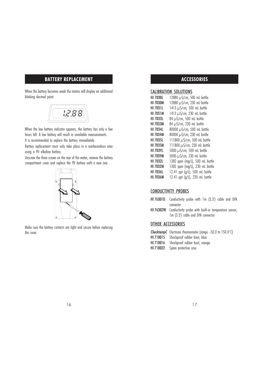# BATTERY REPLACEMENT

When the battery becomes weak the meters will display an additional blinking decimal point.



When the low battery indicator appears, the battery has only a few hours left. A low battery will result in unreliable measurements.

It is recommended to replace the battery immediately.

Battery replacement must only take place in a nonhazardous area using a 9V alkaline battery.

Unscrew the three screws on the rear of the meter, remove the battery compartment cover and replace the 9V battery with a new one.



Make sure the battery contacts are tight and secure before replacing the cover.

# ACCESSORIES

#### CALIBRATION SOLUTIONS

| <b>HI 7030L</b> | 12880 $\mu$ S/cm, 500 mL bottle   |
|-----------------|-----------------------------------|
| HI 7030M        | 12880 µS/cm, 230 mL bottle        |
| <b>HI 7031L</b> | 1413 $\mu$ S/cm, 500 mL bottle    |
| <b>HI 7031M</b> | 1413 µS/cm, 230 mL bottle         |
| <b>HI 7033L</b> | 84 µS/cm, 500 mL bottle           |
| <b>HI 7033M</b> | 84 µS/cm, 230 mL bottle           |
| <b>HI 7034L</b> | 80000 µS/cm, 500 mL bottle        |
| <b>HI 7034M</b> | 80000 µS/cm, 230 mL bottle        |
| <b>HI 7035L</b> | 111800 $\mu$ S/cm, 500 mL bottle  |
| <b>HI 7035M</b> | 111800 $\mu$ S/cm, 230 mL bottle  |
| <b>HI 7039L</b> | 5000 $\mu$ S/cm, 500 mL bottle    |
| <b>HI 7039M</b> | 5000 $\mu$ S/cm, 230 mL bottle    |
| <b>HI 7032L</b> | 1382 ppm (mg/L), 500 mL bottle    |
| <b>HI 7032M</b> | 1382 ppm (mg/L), 230 mL bottle    |
| <b>HI 7036L</b> | 12.41 ppt (g/L), 500 mL bottle    |
| HI 7036M        | 12.41 ppt $(q/l)$ , 230 mL bottle |

#### CONDUCTIVITY PROBES

- HI 76301D Conductivity probe with 1m (3.3') cable and DIN connector
- HI 76302W Conductivity probe with built-in temperature sensor, 1m (3.3') cable and DIN connector

#### OTHER ACCESSORIES

- ChecktempC Electronic thermometer (range: -50.0 to 150.0°C)
- HI 710015 Shockproof rubber boot, blue
- HI 710016 Shockproof rubber boot, orange
- HI 710022 Spare protective case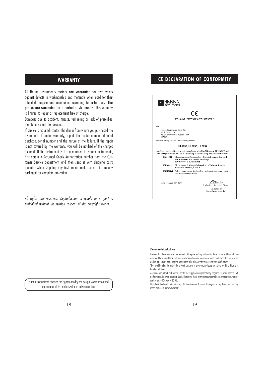All Hanna Instruments meters are warranted for two years against defects in workmanship and materials when used for their intended purpose and maintained according to instructions. The probes are warranted for a period of six months. This warranty is limited to repair or replacement free of charge.

Damages due to accident, misuse, tampering or lack of prescribed maintenance are not covered.

If service is required, contact the dealer from whom you purchased the instrument. If under warranty, report the model number, date of purchase, serial number and the nature of the failure. If the repair is not covered by the warranty, you will be notified of the charges incurred. If the instrument is to be returned to Hanna Instruments, first obtain a Returned Goods Authorization number from the Customer Service department and then send it with shipping costs prepaid. When shipping any instrument, make sure it is properly packaged for complete protection.

All rights are reserved. Reproduction in whole or in part is prohibited without the written consent of the copyright owner.

#### WARRANTY WARRANTY **CE DECLARATION OF CONFORMITY**



#### Recommendations for Users

Before using these products, make sure that they are entirely suitable for the environment in which they are used. Operation of these instruments in residential area could cause unacceptable interference to radio and TV equipment, requiring the operator to take all necessary steps to correct interferences.

The metal band at the end of the probe is sensitive to electrostatic discharges. Avoid touching this metal band at all times.

Any variation introduced by the user to the supplied equipment may degrade the instruments' EMC performance. To avoid electrical shock, do not use these instruments when voltages at the measurement surface exceed 24 Vac or 60 Vdc.

Use plastic beakers to minimize any EMC interferences. To avoid damage or burns, do not perform any measurement in microwave ovens.

Hanna Instruments reserves the right to modify the design, construction and appearance of its products without advance notice.